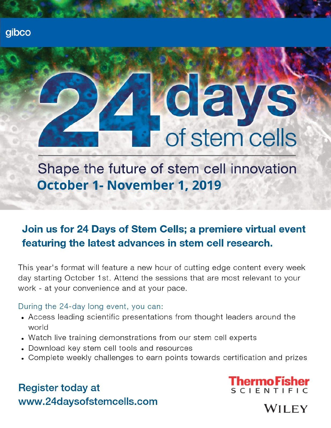# 02 of stem cells

Shape the future of stem cell innovation October 1- November 1, 2019

# Join us for 24 Days of Stem Cells; a premiere virtual event featuring the latest advances in stem cell research.

This year's format will feature a new hour of cutting edge content every week day starting October 1st. Attend the sessions that are most relevant to your work - at your convenience and at your pace.

# During the 24-day long event, you can:

- Access leading scientific presentations from thought leaders around the world
- Watch live training demonstrations from our stem cell experts
- Download key stem cell tools and resources
- Complete weekly challenges to earn points towards certification and prizes

# **Register today at** www.24daysofstemcells.com



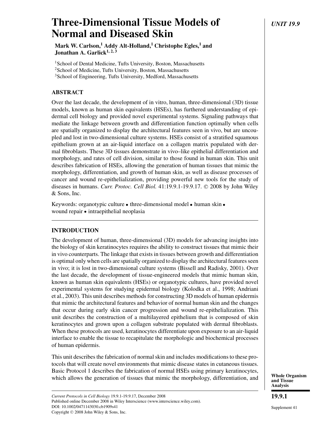# **Three-Dimensional Tissue Models of** *UNIT 19.9* **Normal and Diseased Skin**

**Mark W. Carlson,1 Addy Alt-Holland,1 Christophe Egles,1 and Jonathan A. Garlick1, 2, 3**

<sup>1</sup> School of Dental Medicine, Tufts University, Boston, Massachusetts

<sup>2</sup>School of Medicine, Tufts University, Boston, Massachusetts

<sup>3</sup>School of Engineering, Tufts University, Medford, Massachusetts

# **ABSTRACT**

Over the last decade, the development of in vitro, human, three-dimensional (3D) tissue models, known as human skin equivalents (HSEs), has furthered understanding of epidermal cell biology and provided novel experimental systems. Signaling pathways that mediate the linkage between growth and differentiation function optimally when cells are spatially organized to display the architectural features seen in vivo, but are uncoupled and lost in two-dimensional culture systems. HSEs consist of a stratified squamous epithelium grown at an air-liquid interface on a collagen matrix populated with dermal fibroblasts. These 3D tissues demonstrate in vivo–like epithelial differentiation and morphology, and rates of cell division, similar to those found in human skin. This unit describes fabrication of HSEs, allowing the generation of human tissues that mimic the morphology, differentiation, and growth of human skin, as well as disease processes of cancer and wound re-epithelialization, providing powerful new tools for the study of diseases in humans. *Curr. Protoc. Cell Biol.* 41:19.9.1-19.9.17. © 2008 by John Wiley & Sons, Inc.

Keywords: organotypic culture • three-dimensional model • human skin • wound repair · intraepithelial neoplasia

# **INTRODUCTION**

The development of human, three-dimensional (3D) models for advancing insights into the biology of skin keratinocytes requires the ability to construct tissues that mimic their in vivo counterparts. The linkage that exists in tissues between growth and differentiation is optimal only when cells are spatially organized to display the architectural features seen in vivo; it is lost in two-dimensional culture systems (Bissell and Radisky, 2001). Over the last decade, the development of tissue-engineered models that mimic human skin, known as human skin equivalents (HSEs) or organotypic cultures, have provided novel experimental systems for studying epidermal biology (Kolodka et al., 1998; Andriani et al., 2003). This unit describes methods for constructing 3D models of human epidermis that mimic the architectural features and behavior of normal human skin and the changes that occur during early skin cancer progression and wound re-epithelialization. This unit describes the construction of a multilayered epithelium that is composed of skin keratinocytes and grown upon a collagen substrate populated with dermal fibroblasts. When these protocols are used, keratinocytes differentiate upon exposure to an air-liquid interface to enable the tissue to recapitulate the morphologic and biochemical processes of human epidermis.

This unit describes the fabrication of normal skin and includes modifications to these protocols that will create novel environments that mimic disease states in cutaneous tissues. Basic Protocol 1 describes the fabrication of normal HSEs using primary keratinocytes, which allows the generation of tissues that mimic the morphology, differentiation, and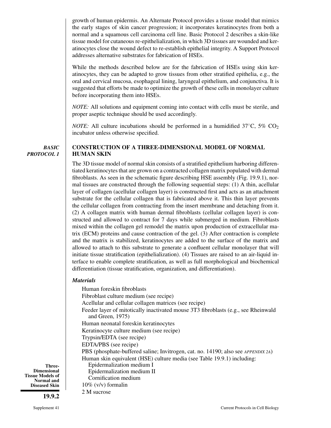growth of human epidermis. An Alternate Protocol provides a tissue model that mimics the early stages of skin cancer progression; it incorporates keratinocytes from both a normal and a squamous cell carcinoma cell line. Basic Protocol 2 describes a skin-like tissue model for cutaneous re-epithelialization, in which 3D tissues are wounded and keratinocytes close the wound defect to re-establish epithelial integrity. A Support Protocol addresses alternative substrates for fabrication of HSEs.

While the methods described below are for the fabrication of HSEs using skin keratinocytes, they can be adapted to grow tissues from other stratified epithelia, e.g., the oral and cervical mucosa, esophageal lining, laryngeal epithelium, and conjunctiva. It is suggested that efforts be made to optimize the growth of these cells in monolayer culture before incorporating them into HSEs.

*NOTE:* All solutions and equipment coming into contact with cells must be sterile, and proper aseptic technique should be used accordingly.

*NOTE:* All culture incubations should be performed in a humidified  $37^{\circ}$ C,  $5\%$  CO<sub>2</sub> incubator unless otherwise specified.

*BASIC PROTOCOL 1*

#### **CONSTRUCTION OF A THREE-DIMENSIONAL MODEL OF NORMAL HUMAN SKIN**

The 3D tissue model of normal skin consists of a stratified epithelium harboring differentiated keratinocytes that are grown on a contracted collagen matrix populated with dermal fibroblasts. As seen in the schematic figure describing HSE assembly (Fig. 19.9.1), normal tissues are constructed through the following sequential steps: (1) A thin, acellular layer of collagen (acellular collagen layer) is constructed first and acts as an attachment substrate for the cellular collagen that is fabricated above it. This thin layer prevents the cellular collagen from contracting from the insert membrane and detaching from it. (2) A collagen matrix with human dermal fibroblasts (cellular collagen layer) is constructed and allowed to contract for 7 days while submerged in medium. Fibroblasts mixed within the collagen gel remodel the matrix upon production of extracellular matrix (ECM) proteins and cause contraction of the gel. (3) After contraction is complete and the matrix is stabilized, keratinocytes are added to the surface of the matrix and allowed to attach to this substrate to generate a confluent cellular monolayer that will initiate tissue stratification (epithelialization). (4) Tissues are raised to an air-liquid interface to enable complete stratification, as well as full morphological and biochemical differentiation (tissue stratification, organization, and differentiation).

#### *Materials*

Human foreskin fibroblasts Fibroblast culture medium (see recipe) Acellular and cellular collagen matrices (see recipe) Feeder layer of mitotically inactivated mouse 3T3 fibroblasts (e.g., see Rheinwald and Green, 1975) Human neonatal foreskin keratinocytes Keratinocyte culture medium (see recipe) Trypsin/EDTA (see recipe) EDTA/PBS (see recipe) PBS (phosphate-buffered saline; Invitrogen, cat. no. 14190; also see *APPENDIX 2A*) Human skin equivalent (HSE) culture media (see Table 19.9.1) including: Epidermalization medium I Epidermalization medium II Cornification medium 10% (v/v) formalin

2 M sucrose

**Tissue Models of Normal and Diseased Skin**

**Three-Dimensional**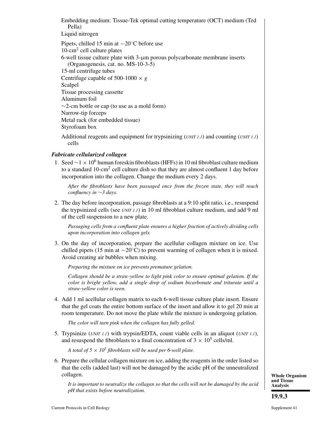Embedding medium: Tissue-Tek optimal cutting temperature (OCT) medium (Ted Pella)

Liquid nitrogen

Pipets, chilled 15 min at −20◦C before use 10-cm2 cell culture plates 6-well tissue culture plate with 3-μm porous polycarbonate membrane inserts (Organogenesis, cat. no. MS-10-3-5) 15-ml centrifuge tubes Centrifuge capable of 500-1000  $\times$  *g* Scalpel Tissue processing cassette Aluminum foil ∼2-cm bottle or cap (to use as a mold form) Narrow-tip forceps Metal rack (for embedded tissue) Styrofoam box Additional reagents and equipment for trypsinizing (*UNIT 1.1*) and counting (*UNIT 1.1*)

# *Fabricate cellularized collagen*

cells

1. Seed  $\sim$  1 × 10<sup>6</sup> human foreskin fibroblasts (HFFs) in 10 ml fibroblast culture medium to a standard 10-cm<sup>2</sup> cell culture dish so that they are almost confluent 1 day before incorporation into the collagen. Change the medium every 2 days.

*After the fibroblasts have been passaged once from the frozen state, they will reach confluency in* ∼*3 days.*

2. The day before incorporation, passage fibroblasts at a 9:10 split ratio, i.e., resuspend the trypsinized cells (see *UNIT 1.1*) in 10 ml fibroblast culture medium, and add 9 ml of the cell suspension to a new plate.

*Passaging cells from a confluent plate ensures a higher fraction of actively dividing cells upon incorporation into collagen gels.*

3. On the day of incorporation, prepare the acellular collagen mixture on ice. Use chilled pipets (15 min at  $-20\degree C$ ) to prevent warming of collagen when it is mixed. Avoid creating air bubbles when mixing.

*Preparing the mixture on ice prevents premature gelation.*

*Collagen should be a straw-yellow to light pink color to ensure optimal gelation. If the color is bright yellow, add a single drop of sodium bicarbonate and triturate until a straw-yellow color is seen.*

4. Add 1 ml acellular collagen matrix to each 6-well tissue culture plate insert. Ensure that the gel coats the entire bottom surface of the insert and allow it to gel 20 min at room temperature. Do not move the plate while the mixture is undergoing gelation.

*The color will turn pink when the collagen has fully gelled.*

5. Trypsinize (*UNIT 1.1*) with trypsin/EDTA, count viable cells in an aliquot (*UNIT 1.1*), and resuspend the fibroblasts to a final concentration of  $3 \times 10^5$  cells/ml.

*A total of 5*  $\times$  *10<sup>5</sup> fibroblasts will be used per 6-well plate.* 

6. Prepare the cellular collagen mixture on ice, adding the reagents in the order listed so that the cells (added last) will not be damaged by the acidic pH of the unneutralized collagen.

*It is important to neutralize the collagen so that the cells will not be damaged by the acid pH that exists before neutralization.*

**Whole Organism and Tissue Analysis**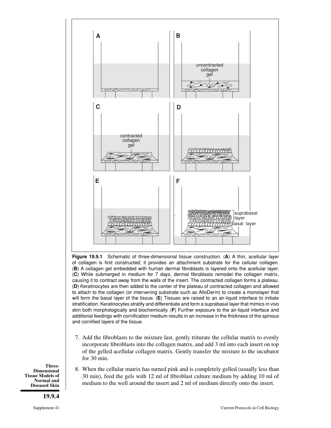

**Figure 19.9.1** Schematic of three-dimensional tissue construction. (**A**) A thin, acellular layer of collagen is first constructed; it provides an attachment substrate for the cellular collagen. (**B**) A collagen gel embedded with human dermal fibroblasts is layered onto the acellular layer. (**C**) While submerged in medium for 7 days, dermal fibroblasts remodel the collagen matrix, causing it to contract away from the walls of the insert. The contracted collagen forms a plateau. (**D**) Keratinocytes are then added to the center of the plateau of contracted collagen and allowed to attach to the collagen (or intervening substrate such as AlloDerm) to create a monolayer that will form the basal layer of the tissue. (**E**) Tissues are raised to an air-liquid interface to initiate stratification. Keratinocytes stratify and differentiate and form a suprabasal layer that mimics in vivo skin both morphologically and biochemically. (**F**) Further exposure to the air-liquid interface and additional feedings with cornification medium results in an increase in the thickness of the spinous and cornified layers of the tissue.

7. Add the fibroblasts to the mixture last, gently triturate the cellular matrix to evenly incorporate fibroblasts into the collagen matrix, and add 3 ml into each insert on top of the gelled acellular collagen matrix. Gently transfer the mixture to the incubator for 30 min.

**Three-Dimensional Tissue Models of Normal and Diseased Skin**

**19.9.4**

8. When the cellular matrix has turned pink and is completely gelled (usually less than 30 min), feed the gels with 12 ml of fibroblast culture medium by adding 10 ml of medium to the well around the insert and 2 ml of medium directly onto the insert.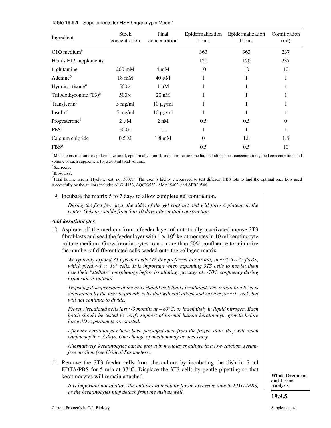| Ingredient                | <b>Stock</b><br>concentration | Final<br>concentration    | Epidermalization<br>$I$ (ml) | Epidermalization<br>$II$ (ml) | Cornification<br>(ml) |
|---------------------------|-------------------------------|---------------------------|------------------------------|-------------------------------|-----------------------|
| O1O medium <sup>b</sup>   |                               |                           | 363                          | 363                           | 237                   |
| Ham's F12 supplements     |                               |                           | 120                          | 120                           | 237                   |
| L-glutamine               | $200 \text{ mM}$              | $4 \text{ mM}$            | 10                           | 10                            | 10                    |
| Adenine $^b$              | $18 \text{ mM}$               | $40 \mu M$                | 1                            |                               |                       |
| Hydrocortisone $b$        | $500\times$                   | $1 \mu M$                 |                              |                               |                       |
| Triiodothyronine $(T3)^b$ | $500\times$                   | $20 \text{ nM}$           |                              |                               |                       |
| Transferrin $c$           | $5$ mg/ml                     | $10 \mu g/ml$             |                              |                               |                       |
| Insulin $^b$              | $5$ mg/ml                     | $10 \mu g/ml$             |                              |                               |                       |
| Progesterone $b$          | $2 \mu M$                     | $2 \text{ nM}$            | 0.5                          | 0.5                           | 0                     |
| $PES^c$                   | $500\times$                   | $1\times$                 |                              |                               |                       |
| Calcium chloride          | 0.5 <sub>M</sub>              | $1.8 \text{ }\mathrm{mM}$ | $\Omega$                     | 1.8                           | 1.8                   |
| $FBS^d$                   |                               |                           | 0.5                          | 0.5                           | 10                    |

#### **Table 19.9.1** Supplements for HSE Organotypic Media<sup>a</sup>

*a*Media construction for epidermalization I, epidermalization II, and cornification media, including stock concentrations, final concentration, and volume of each supplement for a 500 ml total volume.

*b*See recipe.

*<sup>c</sup>*Biosource.

*<sup>d</sup>*Fetal bovine serum (Hyclone, cat. no. 30071). The user is highly encouraged to test different FBS lots to find the optimal one. Lots used successfully by the authors include: ALG14153, AQC23532, AMA15402, and APB20546.

#### 9. Incubate the matrix 5 to 7 days to allow complete gel contraction.

*During the first few days, the sides of the gel contract and will form a plateau in the center. Gels are stable from 5 to 10 days after initial construction.*

#### *Add keratinocytes*

10. Aspirate off the medium from a feeder layer of mitotically inactivated mouse 3T3 fibroblasts and seed the feeder layer with  $1 \times 10^6$  keratinocytes in 10 ml keratinocyte culture medium. Grow keratinocytes to no more than 50% confluence to minimize the number of differentiated cells seeded onto the collagen matrix.

*We typically expand 3T3 feeder cells (J2 line preferred in our lab) in* ∼*20 T-125 flasks, which yield* <sup>∼</sup>*<sup>1</sup>* <sup>×</sup> *108 cells. It is important when expanding 3T3 cells to not let them lose their "stellate" morphology before irradiating; passage at* ∼*70% confluency during expansion is optimal.*

*Trypsinized suspensions of the cells should be lethally irradiated. The irradiation level is determined by the user to provide cells that will still attach and survive for* ∼*1 week, but will not continue to divide.*

*Frozen, irradiated cells last* ∼*3 months at* −*80*◦*C, or indefinitely in liquid nitrogen. Each batch should be tested to verify support of normal human keratinocyte growth before large 3D experiments are started.*

*After the keratinocytes have been passaged once from the frozen state, they will reach confluency in* ∼*3 days. One change of medium may be necessary.*

*Alternatively, keratinocytes can be grown in monolayer culture in a low-calcium, serumfree medium (see Critical Parameters).*

11. Remove the 3T3 feeder cells from the culture by incubating the dish in 5 ml EDTA/PBS for 5 min at 37◦C. Displace the 3T3 cells by gentle pipetting so that keratinocytes will remain attached.

*It is important not to allow the cultures to incubate for an excessive time in EDTA/PBS, as the keratinocytes may detach from the dish as well.*

**Whole Organism and Tissue Analysis**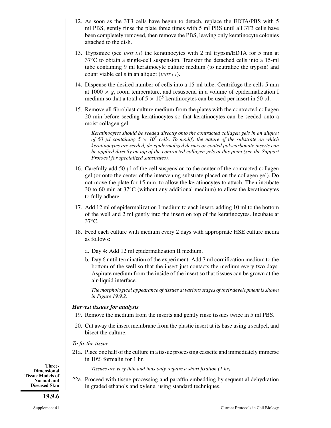- 12. As soon as the 3T3 cells have begun to detach, replace the EDTA/PBS with 5 ml PBS, gently rinse the plate three times with 5 ml PBS until all 3T3 cells have been completely removed, then remove the PBS, leaving only keratinocyte colonies attached to the dish.
- 13. Trypsinize (see *UNIT 1.1*) the keratinocytes with 2 ml trypsin/EDTA for 5 min at 37◦C to obtain a single-cell suspension. Transfer the detached cells into a 15-ml tube containing 9 ml keratinocyte culture medium (to neutralize the trypsin) and count viable cells in an aliquot (*UNIT 1.1*).
- 14. Dispense the desired number of cells into a 15-ml tube. Centrifuge the cells 5 min at  $1000 \times g$ , room temperature, and resuspend in a volume of epidermalization I medium so that a total of  $5 \times 10^5$  keratinocytes can be used per insert in 50  $\mu$ l.
- 15. Remove all fibroblast culture medium from the plates with the contracted collagen 20 min before seeding keratinocytes so that keratinocytes can be seeded onto a moist collagen gel.

*Keratinocytes should be seeded directly onto the contracted collagen gels in an aliquot of 50*  $\mu$ *l containing 5*  $\times$  *10<sup>5</sup> cells. To modify the nature of the substrate on which keratinocytes are seeded, de-epidermalized dermis or coated polycarbonate inserts can be applied directly on top of the contracted collagen gels at this point (see the Support Protocol for specialized substrates).*

- 16. Carefully add 50 μl of the cell suspension to the center of the contracted collagen gel (or onto the center of the intervening substrate placed on the collagen gel). Do not move the plate for 15 min, to allow the keratinocytes to attach. Then incubate 30 to 60 min at 37◦C (without any additional medium) to allow the keratinocytes to fully adhere.
- 17. Add 12 ml of epidermalization I medium to each insert, adding 10 ml to the bottom of the well and 2 ml gently into the insert on top of the keratinocytes. Incubate at 37◦C.
- 18. Feed each culture with medium every 2 days with appropriate HSE culture media as follows:
	- a. Day 4: Add 12 ml epidermalization II medium.
	- b. Day 6 until termination of the experiment: Add 7 ml cornification medium to the bottom of the well so that the insert just contacts the medium every two days. Aspirate medium from the inside of the insert so that tissues can be grown at the air-liquid interface.

*The morphological appearance of tissues at various stages of their development is shown in Figure 19.9.2.*

#### *Harvest tissues for analysis*

- 19. Remove the medium from the inserts and gently rinse tissues twice in 5 ml PBS.
- 20. Cut away the insert membrane from the plastic insert at its base using a scalpel, and bisect the culture.

#### *To fix the tissue*

21a. Place one half of the culture in a tissue processing cassette and immediately immerse in 10% formalin for 1 hr.

*Tissues are very thin and thus only require a short fixation (1 hr).*

22a. Proceed with tissue processing and paraffin embedding by sequential dehydration in graded ethanols and xylene, using standard techniques.

**Three-Dimensional Tissue Models of Normal and Diseased Skin**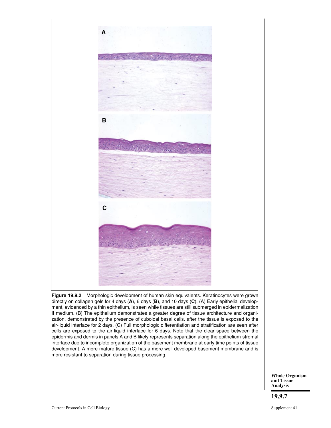

**Figure 19.9.2** Morphologic development of human skin equivalents. Keratinocytes were grown directly on collagen gels for 4 days (**A**), 6 days (**B**), and 10 days (**C**). (A) Early epithelial development, evidenced by a thin epithelium, is seen while tissues are still submerged in epidermalization II medium. (B) The epithelium demonstrates a greater degree of tissue architecture and organization, demonstrated by the presence of cuboidal basal cells, after the tissue is exposed to the air-liquid interface for 2 days. (C) Full morphologic differentiation and stratification are seen after cells are exposed to the air-liquid interface for 6 days. Note that the clear space between the epidermis and dermis in panels A and B likely represents separation along the epithelium-stromal interface due to incomplete organization of the basement membrane at early time points of tissue development. A more mature tissue (C) has a more well developed basement membrane and is more resistant to separation during tissue processing.

> **Whole Organism and Tissue Analysis**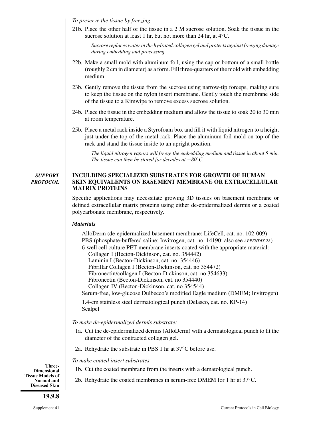*To preserve the tissue by freezing*

21b. Place the other half of the tissue in a 2 M sucrose solution. Soak the tissue in the sucrose solution at least 1 hr, but not more than 24 hr, at  $4°C$ .

*Sucrose replaces water in the hydrated collagen gel and protects against freezing damage during embedding and processing.*

- 22b. Make a small mold with aluminum foil, using the cap or bottom of a small bottle (roughly 2 cm in diameter) as a form. Fill three-quarters of the mold with embedding medium.
- 23b. Gently remove the tissue from the sucrose using narrow-tip forceps, making sure to keep the tissue on the nylon insert membrane. Gently touch the membrane side of the tissue to a Kimwipe to remove excess sucrose solution.
- 24b. Place the tissue in the embedding medium and allow the tissue to soak 20 to 30 min at room temperature.
- 25b. Place a metal rack inside a Styrofoam box and fill it with liquid nitrogen to a height just under the top of the metal rack. Place the aluminum foil mold on top of the rack and stand the tissue inside to an upright position.

*The liquid nitrogen vapors will freeze the embedding medium and tissue in about 5 min. The tissue can then be stored for decades at* −*80*°*C*.

#### *SUPPORT PROTOCOL* **INCULDING SPECIALIZED SUBSTRATES FOR GROWTH OF HUMAN SKIN EQUIVALENTS ON BASEMENT MEMBRANE OR EXTRACELLULAR MATRIX PROTEINS**

Specific applications may necessitate growing 3D tissues on basement membrane or defined extracellular matrix proteins using either de-epidermalized dermis or a coated polycarbonate membrane, respectively.

#### *Materials*

AlloDerm (de-epidermalized basement membrane; LifeCell, cat. no. 102-009) PBS (phosphate-buffered saline; Invitrogen, cat. no. 14190; also see *APPENDIX 2A*) 6-well cell culture PET membrane inserts coated with the appropriate material: Collagen I (Becton-Dickinson, cat. no. 354442) Laminin I (Becton-Dickinson, cat. no. 354446) Fibrillar Collagen I (Becton-Dickinson, cat. no 354472) Fibronectin/collagen I (Becton-Dickinson, cat. no 354633) Fibronectin (Becton-Dickinson, cat. no 354440) Collagen IV (Becton-Dickinson, cat. no 354544)

Serum-free, low-glucose Dulbecco's modified Eagle medium (DMEM; Invitrogen)

1.4-cm stainless steel dermatological punch (Delasco, cat. no. KP-14) Scalpel

*To make de-epidermalized dermis substrate:*

- 1a. Cut the de-epidermalized dermis (AlloDerm) with a dermatological punch to fit the diameter of the contracted collagen gel.
- 2a. Rehydrate the substrate in PBS 1 hr at 37◦C before use.

*To make coated insert substrates*

1b. Cut the coated membrane from the inserts with a dematological punch.

2b. Rehydrate the coated membranes in serum-free DMEM for 1 hr at 37◦C.

**Three-Dimensional Tissue Models of Normal and Diseased Skin**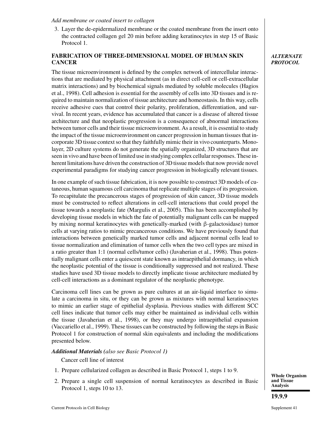#### *Add membrane or coated insert to collagen*

3. Layer the de-epidermalized membrane or the coated membrane from the insert onto the contracted collagen gel 20 min before adding keratinocytes in step 15 of Basic Protocol 1.

# **FABRICATION OF THREE-DIMENSIONAL MODEL OF HUMAN SKIN CANCER**

The tissue microenvironment is defined by the complex network of intercellular interactions that are mediated by physical attachment (as in direct cell-cell or cell-extracellular matrix interactions) and by biochemical signals mediated by soluble molecules (Hagios et al., 1998). Cell adhesion is essential for the assembly of cells into 3D tissues and is required to maintain normalization of tissue architecture and homeostasis. In this way, cells receive adhesive cues that control their polarity, proliferation, differentiation, and survival. In recent years, evidence has accumulated that cancer is a disease of altered tissue architecture and that neoplastic progression is a consequence of abnormal interactions between tumor cells and their tissue microenvironment. As a result, it is essential to study the impact of the tissue microenvironment on cancer progression in human tissues that incorporate 3D tissue context so that they faithfully mimic their in vivo counterparts. Monolayer, 2D culture systems do not generate the spatially organized, 3D structures that are seen in vivo and have been of limited use in studying complex cellular responses. These inherent limitations have driven the construction of 3D tissue models that now provide novel experimental paradigms for studying cancer progression in biologically relevant tissues.

In one example of such tissue fabrication, it is now possible to construct 3D models of cutaneous, human squamous cell carcinoma that replicate multiple stages of its progression. To recapitulate the precancerous stages of progression of skin cancer, 3D tissue models must be constructed to reflect alterations in cell-cell interactions that could propel the tissue towards a neoplastic fate (Margulis et al., 2005). This has been accomplished by developing tissue models in which the fate of potentially malignant cells can be mapped by mixing normal keratinocytes with genetically-marked (with β-galactosidase) tumor cells at varying ratios to mimic precancerous conditions. We have previously found that interactions between genetically marked tumor cells and adjacent normal cells lead to tissue normalization and elimination of tumor cells when the two cell types are mixed in a ratio greater than 1:1 (normal cells/tumor cells) (Javaherian et al., 1998). Thus potentially malignant cells enter a quiescent state known as intraepithelial dormancy, in which the neoplastic potential of the tissue is conditionally suppressed and not realized. These studies have used 3D tissue models to directly implicate tissue architecture mediated by cell-cell interactions as a dominant regulator of the neoplastic phenotype.

Carcinoma cell lines can be grown as pure cultures at an air-liquid interface to simulate a carcinoma in situ, or they can be grown as mixtures with normal keratinocytes to mimic an earlier stage of epithelial dysplasia. Previous studies with different SCC cell lines indicate that tumor cells may either be maintained as individual cells within the tissue (Javaherian et al., 1998), or they may undergo intraepithelial expansion (Vaccariello et al., 1999). These tissues can be constructed by following the steps in Basic Protocol 1 for construction of normal skin equivalents and including the modifications presented below.

# *Additional Materials (also see Basic Protocol 1)*

Cancer cell line of interest

- 1. Prepare cellularized collagen as described in Basic Protocol 1, steps 1 to 9.
- 2. Prepare a single cell suspension of normal keratinocytes as described in Basic Protocol 1, steps 10 to 13.

**Whole Organism and Tissue Analysis 19.9.9**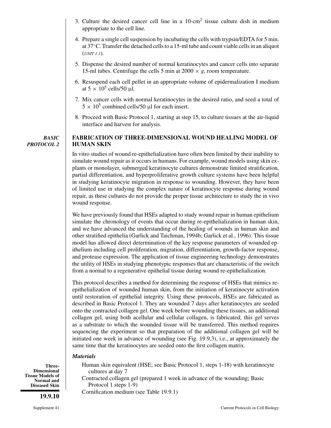- 3. Culture the desired cancer cell line in a 10-cm2 tissue culture dish in medium appropriate to the cell line.
- 4. Prepare a single cell suspension by incubating the cells with trypsin/EDTA for 5 min. at 37◦C. Transfer the detached cells to a 15-ml tube and count viable cells in an aliquot (*UNIT 1.1*).
- 5. Dispense the desired number of normal keratinocytes and cancer cells into separate 15-ml tubes. Centrifuge the cells 5 min at  $2000 \times g$ , room temperature.
- 6. Resuspend each cell pellet in an appropriate volume of epidermalization I medium at  $5 \times 10^5$  cells/50 μl.
- 7. Mix cancer cells with normal keratinocytes in the desired ratio, and seed a total of  $5 \times 10^5$  combined cells/50 µl for each insert.
- 8. Proceed with Basic Protocol 1, starting at step 15, to culture tissues at the air-liquid interface and harvest for analysis.

*BASIC PROTOCOL 2*

# **FABRICATION OF THREE-DIMENSIONAL WOUND HEALING MODEL OF HUMAN SKIN**

In vitro studies of wound re-epithelialization have often been limited by their inability to simulate wound repair as it occurs in humans. For example, wound models using skin explants or monolayer, submerged keratinocyte cultures demonstrate limited stratification, partial differentiation, and hyperproliferative growth culture systems have been helpful in studying keratinocyte migration in response to wounding. However, they have been of limited use in studying the complex nature of keratinocyte response during wound repair, as these cultures do not provide the proper tissue architecture to study the in vivo wound response.

We have previously found that HSEs adapted to study wound repair in human epithelium simulate the chronology of events that occur during re-epithelialization in human skin, and we have advanced the understanding of the healing of wounds in human skin and other stratified epithelia (Garlick and Taichman, 1994b; Garlick et al., 1996). This tissue model has allowed direct determination of the key response parameters of wounded epithelium including cell proliferation, migration, differentiation, growth-factor response, and protease expression. The application of tissue engineering technology demonstrates the utility of HSEs in studying phenotypic responses that are characteristic of the switch from a normal to a regenerative epithelial tissue during wound re-epithelialization.

This protocol describes a method for determining the response of HSEs that mimics reepithelialization of wounded human skin, from the initiation of keratinocyte activation until restoration of epithelial integrity. Using these protocols, HSEs are fabricated as described in Basic Protocol 1. They are wounded 7 days after keratinocytes are seeded onto the contracted collagen gel. One week before wounding these tissues, an additional collagen gel, using both acellular and cellular collagen, is fabricated; this gel serves as a substrate to which the wounded tissue will be transferred. This method requires sequencing the experiment so that preparation of the additional collagen gel will be initiated one week in advance of wounding (see Fig. 19.9.3), i.e., at approximately the same time that the keratinocytes are seeded onto the first collagen matrix.

#### *Materials*

- Human skin equivalent (HSE; see Basic Protocol 1, steps 1-18) with keratinocyte cultures at day 7
	- Contracted collagen gel (prepared 1 week in advance of the wounding; Basic Protocol 1 steps 1-9)
- Cornification medium (see Table 19.9.1)

**Three-Dimensional Tissue Models of Normal and Diseased Skin**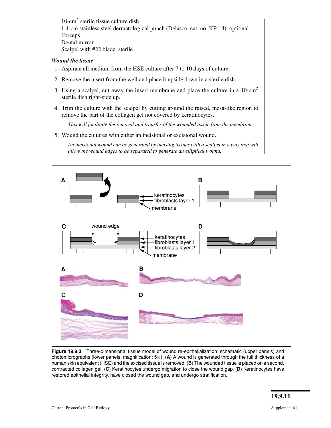10-cm2 sterile tissue culture dish 1.4-cm stainless steel dermatological punch (Delasco, cat. no. KP-14), optional Forceps Dental mirror Scalpel with #22 blade, sterile

#### *Wound the tissue*

- 1. Aspirate all medium from the HSE culture after 7 to 10 days of culture.
- 2. Remove the insert from the well and place it upside down in a sterile dish.
- 3. Using a scalpel, cut away the insert membrane and place the culture in a 10-cm2 sterile dish right-side up.
- 4. Trim the culture with the scalpel by cutting around the raised, mesa-like region to remove the part of the collagen gel not covered by keratinocytes.

*This will facilitate the removal and transfer of the wounded tissue from the membrane.*

5. Wound the cultures with either an incisional or excisional wound.

*An incisional wound can be generated by incising tissues with a scalpel in a way that will allow the wound edges to be separated to generate an elliptical wound.*



**Figure 19.9.3** Three-dimensional tissue model of wound re-epithelialization: schematic (upper panels) and photomicrographs (lower panels; magnification: 5×). (**A**) A wound is generated through the full thickness of a human skin equivalent (HSE) and the excised tissue is removed. (**B**) The wounded tissue is placed on a second, contracted collagen gel. (**C**) Keratinocytes undergo migration to close the wound gap. (**D**) Keratinocytes have restored epithelial integrity, have closed the wound gap, and undergo stratification.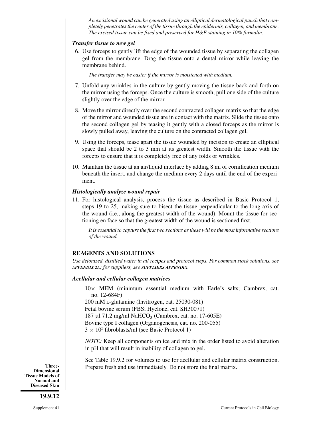*An excisional wound can be generated using an elliptical dermatological punch that completely penetrates the center of the tissue through the epidermis, collagen, and membrane. The excised tissue can be fixed and preserved for H&E staining in 10% formalin.*

#### *Transfer tissue to new gel*

6. Use forceps to gently lift the edge of the wounded tissue by separating the collagen gel from the membrane. Drag the tissue onto a dental mirror while leaving the membrane behind.

*The transfer may be easier if the mirror is moistened with medium.*

- 7. Unfold any wrinkles in the culture by gently moving the tissue back and forth on the mirror using the forceps. Once the culture is smooth, pull one side of the culture slightly over the edge of the mirror.
- 8. Move the mirror directly over the second contracted collagen matrix so that the edge of the mirror and wounded tissue are in contact with the matrix. Slide the tissue onto the second collagen gel by teasing it gently with a closed forceps as the mirror is slowly pulled away, leaving the culture on the contracted collagen gel.
- 9. Using the forceps, tease apart the tissue wounded by incision to create an elliptical space that should be 2 to 3 mm at its greatest width. Smooth the tissue with the forceps to ensure that it is completely free of any folds or wrinkles.
- 10. Maintain the tissue at an air/liquid interface by adding 8 ml of cornification medium beneath the insert, and change the medium every 2 days until the end of the experiment.

#### *Histologically analyze wound repair*

11. For histological analysis, process the tissue as described in Basic Protocol 1, steps 19 to 25, making sure to bisect the tissue perpendicular to the long axis of the wound (i.e., along the greatest width of the wound). Mount the tissue for sectioning en face so that the greatest width of the wound is sectioned first.

*It is essential to capture the first two sections as these will be the most informative sections of the wound.*

# **REAGENTS AND SOLUTIONS**

*Use deionized, distilled water in all recipes and protocol steps. For common stock solutions, see APPENDIX 2A; for suppliers, see SUPPLIERS APPENDIX.*

#### *Acellular and cellular collagen matrices*

10× MEM (minimum essential medium with Earle's salts; Cambrex, cat. no. 12-684F)

200 mM L-glutamine (Invitrogen, cat. 25030-081) Fetal bovine serum (FBS; Hyclone, cat. SH30071) 187 μl 71.2 mg/ml NaHCO<sub>3</sub> (Cambrex, cat. no. 17-605E) Bovine type I collagen (Organogenesis, cat. no. 200-055)  $3 \times 10^5$  fibroblasts/ml (see Basic Protocol 1)

*NOTE:* Keep all components on ice and mix in the order listed to avoid alteration in pH that will result in inability of collagen to gel.

See Table 19.9.2 for volumes to use for acellular and cellular matrix construction. Prepare fresh and use immediately. Do not store the final matrix.

**Three-Dimensional Tissue Models of Normal and Diseased Skin**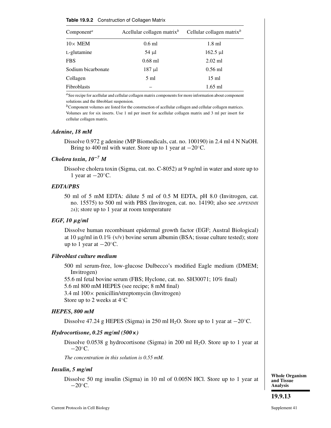#### **Table 19.9.2** Construction of Collagen Matrix

| Component <sup>a</sup> | Acellular collagen matrix $^b$ | Cellular collagen matrix <sup>b</sup> |
|------------------------|--------------------------------|---------------------------------------|
| $10\times$ MEM         | $0.6$ ml                       | $1.8$ ml                              |
| L-glutamine            | $54 \mu l$                     | $162.5 \text{ µl}$                    |
| <b>FBS</b>             | $0.68$ ml                      | $2.02$ ml                             |
| Sodium bicarbonate     | $187 \mu l$                    | $0.56$ ml                             |
| Collagen               | $5 \text{ ml}$                 | $15 \text{ ml}$                       |
| <b>Fibroblasts</b>     |                                | $1.65$ ml                             |

*<sup>a</sup>*See recipe for acellular and cellular collagen matrix components for more information about component solutions and the fibroblast suspension.

*b*Component volumes are listed for the construction of acellular collagen and cellular collagen matrices. Volumes are for six inserts. Use 1 ml per insert for acellular collagen matrix and 3 ml per insert for cellular collagen matrix.

#### *Adenine, 18 mM*

Dissolve 0.972 g adenine (MP Biomedicals, cat. no. 100190) in 2.4 ml 4 N NaOH. Bring to 400 ml with water. Store up to 1 year at  $-20^\circ$ C.

#### *Cholera toxin, 10***−***<sup>7</sup> M*

Dissolve cholera toxin (Sigma, cat. no. C-8052) at 9 ng/ml in water and store up to 1 year at  $-20^\circ$ C.

#### *EDTA/PBS*

50 ml of 5 mM EDTA: dilute 5 ml of 0.5 M EDTA, pH 8.0 (Invitrogen, cat. no. 15575) to 500 ml with PBS (Invitrogen, cat. no. 14190; also see *APPENDIX 2A*); store up to 1 year at room temperature

#### *EGF, 10 μg/ml*

Dissolve human recombinant epidermal growth factor (EGF; Austral Biological) at 10 μg/ml in 0.1% (v/v) bovine serum albumin (BSA; tissue culture tested); store up to 1 year at  $-20^\circ$ C.

#### *Fibroblast culture medium*

500 ml serum-free, low-glucose Dulbecco's modified Eagle medium (DMEM; Invitrogen)

55.6 ml fetal bovine serum (FBS; Hyclone, cat. no. SH30071; 10% final)

5.6 ml 800 mM HEPES (see recipe; 8 mM final)

3.4 ml 100× penicillin/streptomycin (Invitrogen)

Store up to 2 weeks at 4◦C

#### *HEPES, 800 mM*

Dissolve 47.24 g HEPES (Sigma) in 250 ml H<sub>2</sub>O. Store up to 1 year at  $-20^{\circ}$ C.

#### *Hydrocortisone, 0.25 mg/ml (500***×***)*

Dissolve 0.0538 g hydrocortisone (Sigma) in 200 ml  $H_2O$ . Store up to 1 year at  $-20^\circ$ C.

*The concentration in this solution is 0.55 mM.*

#### *Insulin, 5 mg/ml*

Dissolve 50 mg insulin (Sigma) in 10 ml of 0.005N HCl. Store up to 1 year at  $-20^\circ$ C.

**Whole Organism and Tissue Analysis**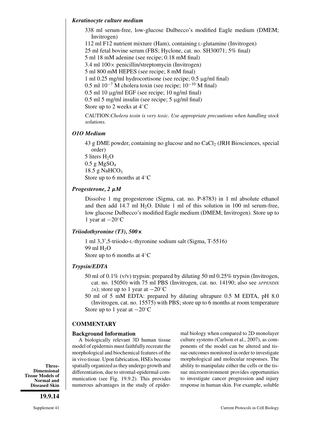#### *Keratinocyte culture medium*

338 ml serum-free, low-glucose Dulbecco's modified Eagle medium (DMEM; Invitrogen) 112 ml F12 nutrient mixture (Ham), containing L-glutamine (Invitrogen)

25 ml fetal bovine serum (FBS; Hyclone, cat. no. SH30071; 5% final)

5 ml 18 mM adenine (see recipe; 0.18 mM final)

3.4 ml  $100 \times$  penicillin/streptomycin (Invitrogen)

5 ml 800 mM HEPES (see recipe; 8 mM final)

1 ml 0.25 mg/ml hydrocortisone (see recipe; 0.5 μg/ml final)

0.5 ml  $10^{-7}$  M cholera toxin (see recipe;  $10^{-10}$  M final)

0.5 ml 10 μg/ml EGF (see recipe; 10 ng/ml final)

0.5 ml 5 mg/ml insulin (see recipe; 5 μg/ml final)

Store up to 2 weeks at 4◦C

CAUTION:*Cholera toxin is very toxic. Use appropriate precautions when handling stock solutions.*

#### *O1O Medium*

43 g DME powder, containing no glucose and no  $CaCl<sub>2</sub>$  (JRH Biosciences, special order) 5 liters  $H_2O$ 

 $0.5$  g MgSO<sub>4</sub> 18.5 g NaHCO<sub>3</sub> Store up to 6 months at 4◦C

# *Progesterone, 2 μM*

Dissolve 1 mg progesterone (Sigma, cat. no. P-8783) in 1 ml absolute ethanol and then add 14.7 ml  $H_2O$ . Dilute 1 ml of this solution in 100 ml serum-free, low glucose Dulbecco's modified Eagle medium (DMEM; Invitrogen). Store up to 1 year at −20◦C

#### *Triiodothyronine (T3), 500***×**

1 ml 3,3 ,5-triiodo-L-thyronine sodium salt (Sigma, T-5516) 99 ml  $H<sub>2</sub>O$ Store up to 6 months at 4◦C

# *Trypsin/EDTA*

- 50 ml of 0.1% (v/v) trypsin: prepared by diluting 50 ml 0.25% trypsin (Invitrogen, cat. no. 15050) with 75 ml PBS (Invitrogen, cat. no. 14190; also see *APPENDIX 2A*); store up to 1 year at  $-20\degree C$
- 50 ml of 5 mM EDTA: prepared by diluting ultrapure 0.5 M EDTA, pH 8.0 (Invitrogen, cat. no. 15575) with PBS; store up to 6 months at room temperature Store up to 1 year at  $-20^\circ \text{C}$

#### **COMMENTARY**

#### **Background Information**

A biologically relevant 3D human tissue model of epidermis must faithfully recreate the morphological and biochemical features of the in vivo tissue. Upon fabrication, HSEs become spatially organized as they undergo growth and differentiation, due to stromal-epidermal communication (see Fig. 19.9.2). This provides numerous advantages in the study of epider-

mal biology when compared to 2D monolayer culture systems (Carlson et al., 2007), as components of the model can be altered and tissue outcomes monitored in order to investigate morphological and molecular responses. The ability to manipulate either the cells or the tissue microenvironment provides opportunities to investigate cancer progression and injury response in human skin. For example, soluble

**Three-Dimensional Tissue Models of Normal and Diseased Skin**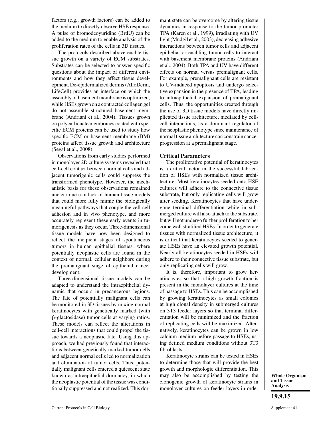factors (e.g., growth factors) can be added to the medium to directly observe HSE response. A pulse of bromodeoyuridine (BrdU) can be added to the medium to enable analysis of the proliferation rates of the cells in 3D tissues.

The protocols described above enable tissue growth on a variety of ECM substrates. Substrates can be selected to answer specific questions about the impact of different environments and how they affect tissue development. De-epidermalized dermis (AlloDerm, LifeCell) provides an interface on which the assembly of basement membrane is optimized, while HSEs grown on a contracted collagen gel do not assemble structured basement membrane (Andriani et al., 2004). Tissues grown on polycarbonate membranes coated with specific ECM proteins can be used to study how specific ECM or basement membrane (BM) proteins affect tissue growth and architecture (Segal et al., 2008).

Observations from early studies performed in monolayer 2D culture systems revealed that cell-cell contact between normal cells and adjacent tumorigenic cells could suppress the transformed phenotype. However, the mechanistic basis for these observations remained unclear due to a lack of human tissue models that could more fully mimic the biologically meaningful pathways that couple the cell-cell adhesion and in vivo phenotype, and more accurately represent these early events in tumorigenesis as they occur. Three-dimensional tissue models have now been designed to reflect the incipient stages of spontaneous tumors in human epithelial tissues, where potentially neoplastic cells are found in the context of normal, cellular neighbors during the premalignant stage of epithelial cancer development.

Three-dimensional tissue models can be adapted to understand the intraepithelial dynamic that occurs in precancerous legions. The fate of potentially malignant cells can be monitored in 3D tissues by mixing normal keratinocytes with genetically marked (with β-glactosidase) tumor cells at varying ratios. These models can reflect the alterations in cell-cell interactions that could propel the tissue towards a neoplastic fate. Using this approach, we had previously found that interactions between genetically marked tumor cells and adjacent normal cells led to normalization and elimination of tumor cells. Thus, potentially malignant cells entered a quiescent state known as intraepithelial dormancy, in which the neoplastic potential of the tissue was conditionally suppressed and not realized. This dormant state can be overcome by altering tissue dynamics in response to the tumor promoter TPA (Karen et al., 1999), irradiating with UV light (Mudgil et al., 2003), decreasing adhesive interactions between tumor cells and adjacent epithelia, or enabling tumor cells to interact with basement membrane proteins (Andriani et al., 2004). Both TPA and UV have different effects on normal versus premalignant cells. For example, premalignant cells are resistant to UV-induced apoptosis and undergo selective expansion in the presence of TPA, leading to intraepithelial expansion of premalignant cells. Thus, the opportunities created through the use of 3D tissue models have directly implicated tissue architecture, mediated by cellcell interactions, as a dominant regulator of the neoplastic phenotype since maintenance of normal tissue architecture can constrain cancer progression at a premalignant stage.

#### **Critical Parameters**

The proliferative potential of keratinocytes is a critical factor in the successful fabrication of HSEs with normalized tissue architecture. Most keratinocytes seeded onto HSE cultures will adhere to the connective tissue substrate, but only replicating cells will grow after seeding. Keratinocytes that have undergone terminal differentiation while in submerged culture will also attach to the substrate, but will not undergo further proliferation to become well stratified HSEs. In order to generate tissues with normalized tissue architecture, it is critical that keratinocytes seeded to generate HSEs have an elevated growth potential. Nearly all keratinocytes seeded in HSEs will adhere to their connective tissue substrate, but only replicating cells will grow.

It is, therefore, important to grow keratinocytes so that a high growth fraction is present in the monolayer cultures at the time of passage to HSEs. This can be accomplished by growing keratinocytes as small colonies at high clonal density in submerged cultures on 3T3 feeder layers so that terminal differentiation will be minimized and the fraction of replicating cells will be maximized. Alternatively, keratinocytes can be grown in low calcium medium before passage to HSEs, using defined medium conditions without 3T3 fibroblasts.

Keratinocyte strains can be tested in HSEs to determine those that will provide the best growth and morphologic differentiation. This may also be accomplished by testing the clonogenic growth of keratinocyte strains in monolayer cultures on feeder layers in order

**Whole Organism and Tissue Analysis**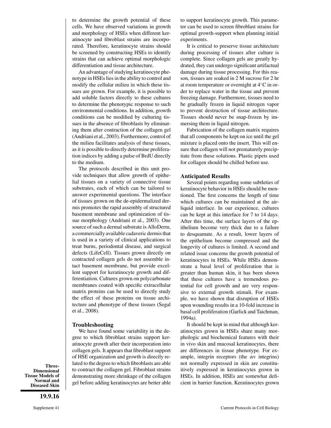to determine the growth potential of these cells. We have observed variations in growth and morphology of HSEs when different keratinocyte and fibroblast strains are incorporated. Therefore, keratinocyte strains should be screened by constructing HSEs to identify strains that can achieve optimal morphologic differentiation and tissue architecture.

An advantage of studying keratinocyte phenotype in HSEs lies in the ability to control and modify the cellular milieu in which these tissues are grown. For example, it is possible to add soluble factors directly to these cultures to determine the phenotypic response to such environmental conditions. In addition, growth conditions can be modified by culturing tissues in the absence of fibroblasts by eliminating them after contraction of the collagen gel (Andriani et al., 2003). Furthermore, control of the milieu facilitates analysis of these tissues, as it is possible to directly determine proliferation indices by adding a pulse of BrdU directly to the medium.

The protocols described in this unit provide techniques that allow growth of epithelial tissues on a variety of connective tissue substrates, each of which can be tailored to answer experimental questions. The interface of tissues grown on the de-epidermalized dermis promotes the rapid assembly of structured basement membrane and optimization of tissue morphology (Andriani et al., 2003). One source of such a dermal substrate is AlloDerm, a commercially available cadaveric dermis that is used in a variety of clinical applications to treat burns, periodontal disease, and surgical defects (LifeCell). Tissues grown directly on contracted collagen gels do not assemble intact basement membrane, but provide excellent support for keratinocyte growth and differentiation. Cultures grown on polycarbonate membranes coated with specific extracellular matrix proteins can be used to directly study the effect of these proteins on tissue architecture and phenotype of these tissues (Segal et al., 2008).

#### **Troubleshooting**

We have found some variability in the degree to which fibroblast strains support keratinocyte growth after their incorporation into collagen gels. It appears that fibroblast support of HSE organization and growth is directly related to the degree to which fibroblasts are able to contract the collagen gel. Fibroblast strains demonstrating more shrinkage of the collagen gel before adding keratinocytes are better able

to support keratinocyte growth. This parameter can be used to screen fibroblast strains for optimal growth-support when planning initial experiments.

It is critical to preserve tissue architecture during processing of tissues after culture is complete. Since collagen gels are greatly hydrated, they can undergo significant artifactual damage during tissue processing. For this reason, tissues are soaked in 2 M sucrose for 2 hr at room temperature or overnight at 4◦C in order to replace water in the tissue and prevent freezing damage. Furthermore, tissues need to be gradually frozen in liquid nitrogen vapor to prevent destruction of tissue architecture. Tissues should never be snap-frozen by immersing them in liquid nitrogen.

Fabrication of the collagen matrix requires that all components be kept on ice until the gel mixture is placed onto the insert. This will ensure that collagen will not prematurely precipitate from these solutions. Plastic pipets used for collagen should be chilled before use.

#### **Anticipated Results**

Several points regarding some subtleties of keratinocyte behavior in HSEs should be mentioned. The first concerns the length of time which cultures can be maintained at the airliquid interface. In our experience, cultures can be kept at this interface for 7 to 14 days. After this time, the surface layers of the epithelium become very thick due to a failure to desquamate. As a result, lower layers of the epithelium become compressed and the longevity of cultures is limited. A second and related issue concerns the growth potential of keratinocytes in HSEs. While HSEs demonstrate a basal level of proliferation that is greater than human skin, it has been shown that these cultures have a tremendous potential for cell growth and are very responsive to external growth stimuli. For example, we have shown that disruption of HSEs upon wounding results in a 10-fold increase in basal cell proliferation (Garlick and Taichman, 1994a).

It should be kept in mind that although keratinocytes grown in HSEs share many morphologic and biochemical features with their in vivo skin and mucosal keratinocytes, there are differences in tissue phenotype. For example, integrin receptors (the αv integrins) not normally expressed in skin are constituitively expressed in keratinocytes grown in HSEs. In addition, HSEs are somewhat deficient in barrier function. Keratinocytes grown

**Three-Dimensional Tissue Models of Normal and Diseased Skin**